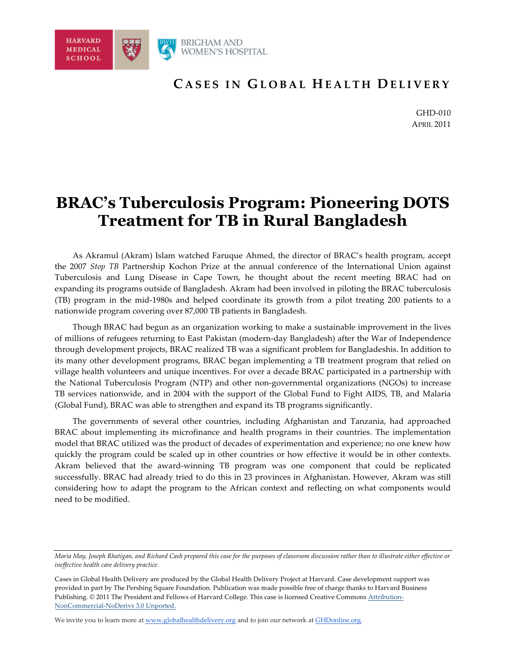

## **C ASES IN G LOBAL H EALTH D ELIVERY**

GHD-010 APRIL 2011

# **BRAC's Tuberculosis Program: Pioneering DOTS Treatment for TB in Rural Bangladesh**

As Akramul (Akram) Islam watched Faruque Ahmed, the director of BRAC's health program, accept the 2007 *Stop TB* Partnership Kochon Prize at the annual conference of the International Union against Tuberculosis and Lung Disease in Cape Town, he thought about the recent meeting BRAC had on expanding its programs outside of Bangladesh. Akram had been involved in piloting the BRAC tuberculosis (TB) program in the mid-1980s and helped coordinate its growth from a pilot treating 200 patients to a nationwide program covering over 87,000 TB patients in Bangladesh.

Though BRAC had begun as an organization working to make a sustainable improvement in the lives of millions of refugees returning to East Pakistan (modern-day Bangladesh) after the War of Independence through development projects, BRAC realized TB was a significant problem for Bangladeshis. In addition to its many other development programs, BRAC began implementing a TB treatment program that relied on village health volunteers and unique incentives. For over a decade BRAC participated in a partnership with the National Tuberculosis Program (NTP) and other non-governmental organizations (NGOs) to increase TB services nationwide, and in 2004 with the support of the Global Fund to Fight AIDS, TB, and Malaria (Global Fund), BRAC was able to strengthen and expand its TB programs significantly.

The governments of several other countries, including Afghanistan and Tanzania, had approached BRAC about implementing its microfinance and health programs in their countries. The implementation model that BRAC utilized was the product of decades of experimentation and experience; no one knew how quickly the program could be scaled up in other countries or how effective it would be in other contexts. Akram believed that the award-winning TB program was one component that could be replicated successfully. BRAC had already tried to do this in 23 provinces in Afghanistan. However, Akram was still considering how to adapt the program to the African context and reflecting on what components would need to be modified.

We invite you to learn more at www.globalhealthdelivery.org and to join our network at GHDonline.org.

*Maria May, Joseph Rhatigan, and Richard Cash prepared this case for the purposes of classroom discussion rather than to illustrate either effective or ineffective health care delivery practice.* 

Cases in Global Health Delivery are produced by the Global Health Delivery Project at Harvard. Case development *s*upport was provided in part by The Pershing Square Foundation. Publication was made possible free of charge thanks to Harvard Business Publishing. © 2011 The President and Fellows of Harvard College. This case is licensed Creative Commons Attribution-NonCommercial-NoDerivs 3.0 Unported.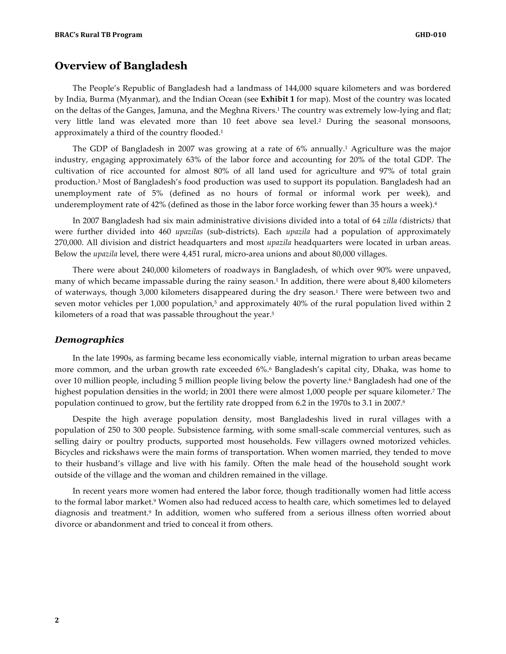### **Overview of Bangladesh**

The People's Republic of Bangladesh had a landmass of 144,000 square kilometers and was bordered by India, Burma (Myanmar), and the Indian Ocean (see **Exhibit 1** for map). Most of the country was located on the deltas of the Ganges, Jamuna, and the Meghna Rivers.1 The country was extremely low-lying and flat; very little land was elevated more than 10 feet above sea level.2 During the seasonal monsoons, approximately a third of the country flooded.1

The GDP of Bangladesh in 2007 was growing at a rate of 6% annually.1 Agriculture was the major industry, engaging approximately 63% of the labor force and accounting for 20% of the total GDP. The cultivation of rice accounted for almost 80% of all land used for agriculture and 97% of total grain production.3 Most of Bangladesh's food production was used to support its population. Bangladesh had an unemployment rate of 5% (defined as no hours of formal or informal work per week), and underemployment rate of 42% (defined as those in the labor force working fewer than 35 hours a week).4

In 2007 Bangladesh had six main administrative divisions divided into a total of 64 *zilla (*districts*)* that were further divided into 460 *upazilas* (sub-districts). Each *upazila* had a population of approximately 270,000. All division and district headquarters and most *upazila* headquarters were located in urban areas. Below the *upazila* level, there were 4,451 rural, micro-area unions and about 80,000 villages.

There were about 240,000 kilometers of roadways in Bangladesh, of which over 90% were unpaved, many of which became impassable during the rainy season.1 In addition, there were about 8,400 kilometers of waterways, though 3,000 kilometers disappeared during the dry season.1 There were between two and seven motor vehicles per 1,000 population,<sup>5</sup> and approximately 40% of the rural population lived within 2 kilometers of a road that was passable throughout the year.5

#### *Demographics*

In the late 1990s, as farming became less economically viable, internal migration to urban areas became more common, and the urban growth rate exceeded 6%.6 Bangladesh's capital city, Dhaka, was home to over 10 million people, including 5 million people living below the poverty line.<sup>6</sup> Bangladesh had one of the highest population densities in the world; in 2001 there were almost 1,000 people per square kilometer.7 The population continued to grow, but the fertility rate dropped from 6.2 in the 1970s to 3.1 in 2007.8

Despite the high average population density, most Bangladeshis lived in rural villages with a population of 250 to 300 people. Subsistence farming, with some small-scale commercial ventures, such as selling dairy or poultry products, supported most households. Few villagers owned motorized vehicles. Bicycles and rickshaws were the main forms of transportation. When women married, they tended to move to their husband's village and live with his family. Often the male head of the household sought work outside of the village and the woman and children remained in the village.

In recent years more women had entered the labor force, though traditionally women had little access to the formal labor market.<sup>9</sup> Women also had reduced access to health care, which sometimes led to delayed diagnosis and treatment.9 In addition, women who suffered from a serious illness often worried about divorce or abandonment and tried to conceal it from others.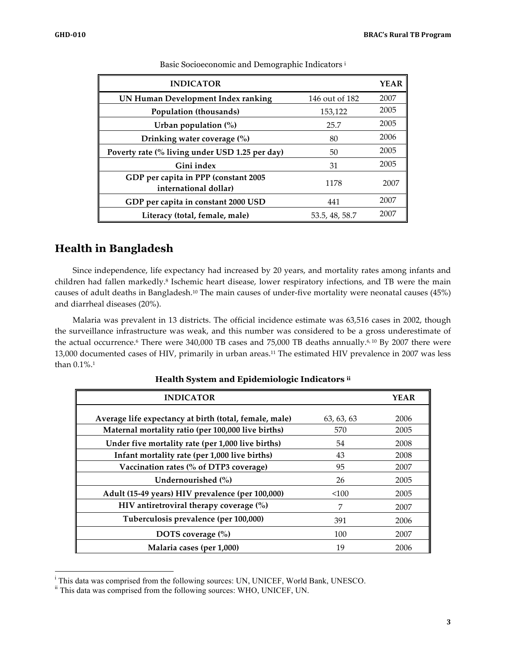| <b>INDICATOR</b>                                              |                | <b>YEAR</b> |
|---------------------------------------------------------------|----------------|-------------|
| UN Human Development Index ranking                            | 146 out of 182 | 2007        |
| Population (thousands)                                        | 153,122        | 2005        |
| Urban population (%)                                          | 25.7           | 2005        |
| Drinking water coverage (%)                                   | 80             | 2006        |
| Poverty rate (% living under USD 1.25 per day)                | 50             | 2005        |
| Gini index                                                    | 31             | 2005        |
| GDP per capita in PPP (constant 2005<br>international dollar) | 1178           | 2007        |
| GDP per capita in constant 2000 USD                           | 441            | 2007        |
| Literacy (total, female, male)                                | 53.5, 48, 58.7 | 2007        |

Basic Socioeconomic and Demographic Indicators <sup>i</sup>

## **Health in Bangladesh**

Since independence, life expectancy had increased by 20 years, and mortality rates among infants and children had fallen markedly.<sup>8</sup> Ischemic heart disease, lower respiratory infections, and TB were the main causes of adult deaths in Bangladesh.10 The main causes of under-five mortality were neonatal causes (45%) and diarrheal diseases (20%).

Malaria was prevalent in 13 districts. The official incidence estimate was 63,516 cases in 2002, though the surveillance infrastructure was weak, and this number was considered to be a gross underestimate of the actual occurrence.<sup>6</sup> There were 340,000 TB cases and 75,000 TB deaths annually.<sup>6, 10</sup> By 2007 there were 13,000 documented cases of HIV, primarily in urban areas.11 The estimated HIV prevalence in 2007 was less than 0.1%.1

| <b>INDICATOR</b>                                       |            | <b>YEAR</b> |
|--------------------------------------------------------|------------|-------------|
| Average life expectancy at birth (total, female, male) | 63, 63, 63 | 2006        |
| Maternal mortality ratio (per 100,000 live births)     | 570        | 2005        |
| Under five mortality rate (per 1,000 live births)      | 54         | 2008        |
| Infant mortality rate (per 1,000 live births)          | 43         | 2008        |
| Vaccination rates (% of DTP3 coverage)                 | 95         | 2007        |
| Undernourished (%)                                     | 26         | 2005        |
| Adult (15-49 years) HIV prevalence (per 100,000)       | < 100      | 2005        |
| HIV antiretroviral therapy coverage $\frac{0}{0}$      | 7          | 2007        |
| Tuberculosis prevalence (per 100,000)                  | 391        | 2006        |
| DOTS coverage $(\% )$                                  | 100        | 2007        |
| Malaria cases (per 1,000)                              | 19         | 2006        |

#### **Health System and Epidemiologic Indicators ii**

i <sup>i</sup> This data was comprised from the following sources: UN, UNICEF, World Bank, UNESCO. ii This data was comprised from the following sources: WHO, UNICEF, UN.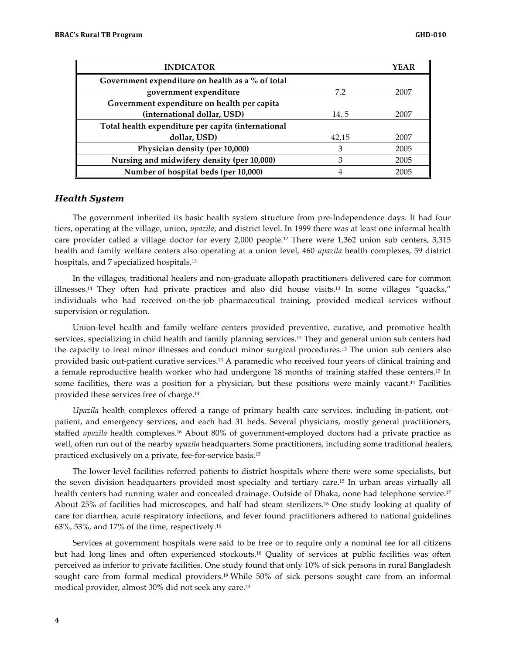| <b>INDICATOR</b>                                   |       | YEAR |
|----------------------------------------------------|-------|------|
| Government expenditure on health as a % of total   |       |      |
| government expenditure                             | 7.2   | 2007 |
| Government expenditure on health per capita        |       |      |
| (international dollar, USD)                        | 14, 5 | 2007 |
| Total health expenditure per capita (international |       |      |
| dollar, USD)                                       | 42,15 | 2007 |
| Physician density (per 10,000)                     | 3     | 2005 |
| Nursing and midwifery density (per 10,000)         | 3     | 2005 |
| Number of hospital beds (per 10,000)               | 4     | 2005 |

#### *Health System*

The government inherited its basic health system structure from pre-Independence days. It had four tiers, operating at the village, union, *upazila*, and district level. In 1999 there was at least one informal health care provider called a village doctor for every 2,000 people.12 There were 1,362 union sub centers, 3,315 health and family welfare centers also operating at a union level, 460 *upazila* health complexes, 59 district hospitals, and 7 specialized hospitals.<sup>13</sup>

In the villages, traditional healers and non-graduate allopath practitioners delivered care for common illnesses.14 They often had private practices and also did house visits.13 In some villages "quacks," individuals who had received on-the-job pharmaceutical training, provided medical services without supervision or regulation.

Union-level health and family welfare centers provided preventive, curative, and promotive health services, specializing in child health and family planning services.13 They and general union sub centers had the capacity to treat minor illnesses and conduct minor surgical procedures.13 The union sub centers also provided basic out-patient curative services.13 A paramedic who received four years of clinical training and a female reproductive health worker who had undergone 18 months of training staffed these centers.15 In some facilities, there was a position for a physician, but these positions were mainly vacant.14 Facilities provided these services free of charge.14

*Upazila* health complexes offered a range of primary health care services, including in-patient, outpatient, and emergency services, and each had 31 beds. Several physicians, mostly general practitioners, staffed *upazila* health complexes.16 About 80% of government-employed doctors had a private practice as well, often run out of the nearby *upazila* headquarters. Some practitioners, including some traditional healers, practiced exclusively on a private, fee-for-service basis.15

The lower-level facilities referred patients to district hospitals where there were some specialists, but the seven division headquarters provided most specialty and tertiary care.15 In urban areas virtually all health centers had running water and concealed drainage. Outside of Dhaka, none had telephone service.<sup>17</sup> About 25% of facilities had microscopes, and half had steam sterilizers.16 One study looking at quality of care for diarrhea, acute respiratory infections, and fever found practitioners adhered to national guidelines 63%, 53%, and 17% of the time, respectively.16

Services at government hospitals were said to be free or to require only a nominal fee for all citizens but had long lines and often experienced stockouts.18 Quality of services at public facilities was often perceived as inferior to private facilities. One study found that only 10% of sick persons in rural Bangladesh sought care from formal medical providers.19 While 50% of sick persons sought care from an informal medical provider, almost 30% did not seek any care.20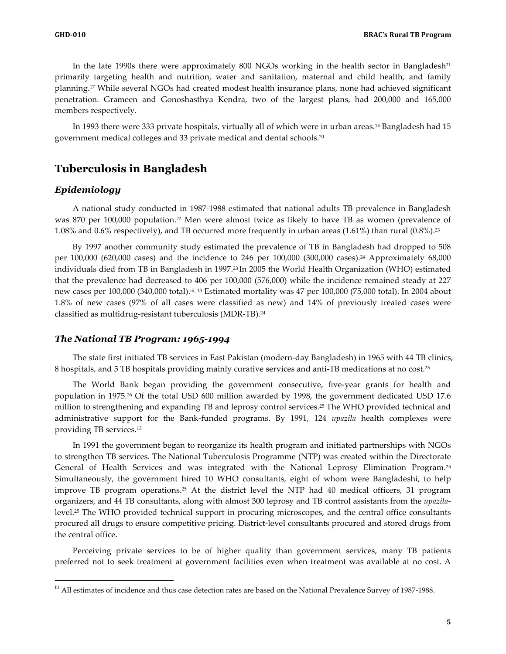In the late 1990s there were approximately 800 NGOs working in the health sector in Bangladesh $^{21}$ primarily targeting health and nutrition, water and sanitation, maternal and child health, and family planning.17 While several NGOs had created modest health insurance plans, none had achieved significant penetration. Grameen and Gonoshasthya Kendra, two of the largest plans, had 200,000 and 165,000 members respectively.

In 1993 there were 333 private hospitals, virtually all of which were in urban areas.15 Bangladesh had 15 government medical colleges and 33 private medical and dental schools.20

### **Tuberculosis in Bangladesh**

#### *Epidemiology*

A national study conducted in 1987-1988 estimated that national adults TB prevalence in Bangladesh was 870 per 100,000 population.<sup>22</sup> Men were almost twice as likely to have TB as women (prevalence of 1.08% and 0.6% respectively), and TB occurred more frequently in urban areas (1.61%) than rural (0.8%).23

By 1997 another community study estimated the prevalence of TB in Bangladesh had dropped to 508 per 100,000 (620,000 cases) and the incidence to 246 per 100,000 (300,000 cases).24 Approximately 68,000 individuals died from TB in Bangladesh in 1997.23 In 2005 the World Health Organization (WHO) estimated that the prevalence had decreased to 406 per 100,000 (576,000) while the incidence remained steady at 227 new cases per 100,000 (340,000 total).iii, 13 Estimated mortality was 47 per 100,000 (75,000 total). In 2004 about 1.8% of new cases (97% of all cases were classified as new) and 14% of previously treated cases were classified as multidrug-resistant tuberculosis (MDR-TB).24

#### *The National TB Program: 1965-1994*

The state first initiated TB services in East Pakistan (modern-day Bangladesh) in 1965 with 44 TB clinics, 8 hospitals, and 5 TB hospitals providing mainly curative services and anti-TB medications at no cost.25

The World Bank began providing the government consecutive, five-year grants for health and population in 1975.26 Of the total USD 600 million awarded by 1998, the government dedicated USD 17.6 million to strengthening and expanding TB and leprosy control services.25 The WHO provided technical and administrative support for the Bank-funded programs. By 1991, 124 *upazila* health complexes were providing TB services.13

In 1991 the government began to reorganize its health program and initiated partnerships with NGOs to strengthen TB services. The National Tuberculosis Programme (NTP) was created within the Directorate General of Health Services and was integrated with the National Leprosy Elimination Program.25 Simultaneously, the government hired 10 WHO consultants, eight of whom were Bangladeshi, to help improve TB program operations.25 At the district level the NTP had 40 medical officers, 31 program organizers, and 44 TB consultants, along with almost 300 leprosy and TB control assistants from the *upazila*level.<sup>25</sup> The WHO provided technical support in procuring microscopes, and the central office consultants procured all drugs to ensure competitive pricing. District-level consultants procured and stored drugs from the central office.

Perceiving private services to be of higher quality than government services, many TB patients preferred not to seek treatment at government facilities even when treatment was available at no cost. A

iii All estimates of incidence and thus case detection rates are based on the National Prevalence Survey of 1987-1988.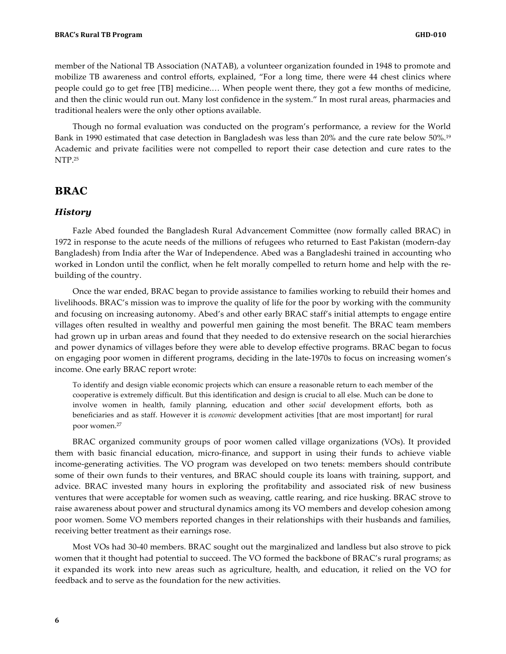member of the National TB Association (NATAB), a volunteer organization founded in 1948 to promote and mobilize TB awareness and control efforts, explained, "For a long time, there were 44 chest clinics where people could go to get free [TB] medicine.… When people went there, they got a few months of medicine, and then the clinic would run out. Many lost confidence in the system." In most rural areas, pharmacies and traditional healers were the only other options available.

Though no formal evaluation was conducted on the program's performance, a review for the World Bank in 1990 estimated that case detection in Bangladesh was less than 20% and the cure rate below 50%.19 Academic and private facilities were not compelled to report their case detection and cure rates to the NTP.25

### **BRAC**

#### *History*

Fazle Abed founded the Bangladesh Rural Advancement Committee (now formally called BRAC) in 1972 in response to the acute needs of the millions of refugees who returned to East Pakistan (modern-day Bangladesh) from India after the War of Independence. Abed was a Bangladeshi trained in accounting who worked in London until the conflict, when he felt morally compelled to return home and help with the rebuilding of the country.

Once the war ended, BRAC began to provide assistance to families working to rebuild their homes and livelihoods. BRAC's mission was to improve the quality of life for the poor by working with the community and focusing on increasing autonomy. Abed's and other early BRAC staff's initial attempts to engage entire villages often resulted in wealthy and powerful men gaining the most benefit. The BRAC team members had grown up in urban areas and found that they needed to do extensive research on the social hierarchies and power dynamics of villages before they were able to develop effective programs. BRAC began to focus on engaging poor women in different programs, deciding in the late-1970s to focus on increasing women's income. One early BRAC report wrote:

To identify and design viable economic projects which can ensure a reasonable return to each member of the cooperative is extremely difficult. But this identification and design is crucial to all else. Much can be done to involve women in health, family planning, education and other *social* development efforts, both as beneficiaries and as staff. However it is *economic* development activities [that are most important] for rural poor women.27

BRAC organized community groups of poor women called village organizations (VOs). It provided them with basic financial education, micro-finance, and support in using their funds to achieve viable income-generating activities. The VO program was developed on two tenets: members should contribute some of their own funds to their ventures, and BRAC should couple its loans with training, support, and advice. BRAC invested many hours in exploring the profitability and associated risk of new business ventures that were acceptable for women such as weaving, cattle rearing, and rice husking. BRAC strove to raise awareness about power and structural dynamics among its VO members and develop cohesion among poor women. Some VO members reported changes in their relationships with their husbands and families, receiving better treatment as their earnings rose.

Most VOs had 30-40 members. BRAC sought out the marginalized and landless but also strove to pick women that it thought had potential to succeed. The VO formed the backbone of BRAC's rural programs; as it expanded its work into new areas such as agriculture, health, and education, it relied on the VO for feedback and to serve as the foundation for the new activities.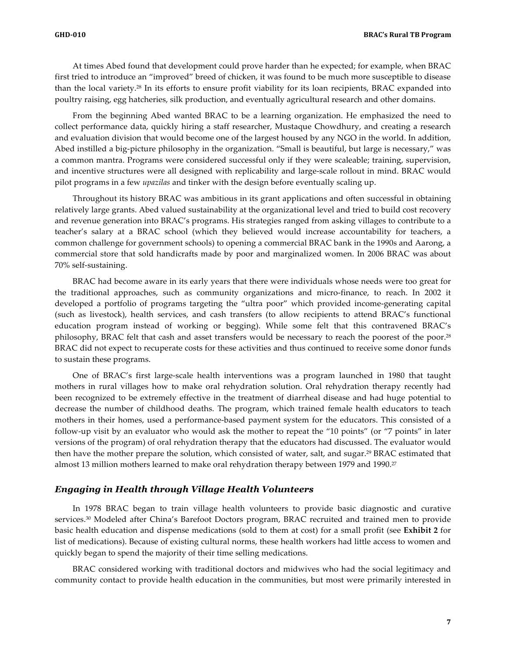At times Abed found that development could prove harder than he expected; for example, when BRAC first tried to introduce an "improved" breed of chicken, it was found to be much more susceptible to disease than the local variety.28 In its efforts to ensure profit viability for its loan recipients, BRAC expanded into poultry raising, egg hatcheries, silk production, and eventually agricultural research and other domains.

From the beginning Abed wanted BRAC to be a learning organization. He emphasized the need to collect performance data, quickly hiring a staff researcher, Mustaque Chowdhury, and creating a research and evaluation division that would become one of the largest housed by any NGO in the world. In addition, Abed instilled a big-picture philosophy in the organization. "Small is beautiful, but large is necessary," was a common mantra. Programs were considered successful only if they were scaleable; training, supervision, and incentive structures were all designed with replicability and large-scale rollout in mind. BRAC would pilot programs in a few *upazilas* and tinker with the design before eventually scaling up.

Throughout its history BRAC was ambitious in its grant applications and often successful in obtaining relatively large grants. Abed valued sustainability at the organizational level and tried to build cost recovery and revenue generation into BRAC's programs. His strategies ranged from asking villages to contribute to a teacher's salary at a BRAC school (which they believed would increase accountability for teachers, a common challenge for government schools) to opening a commercial BRAC bank in the 1990s and Aarong, a commercial store that sold handicrafts made by poor and marginalized women. In 2006 BRAC was about 70% self-sustaining.

BRAC had become aware in its early years that there were individuals whose needs were too great for the traditional approaches, such as community organizations and micro-finance, to reach. In 2002 it developed a portfolio of programs targeting the "ultra poor" which provided income-generating capital (such as livestock), health services, and cash transfers (to allow recipients to attend BRAC's functional education program instead of working or begging). While some felt that this contravened BRAC's philosophy, BRAC felt that cash and asset transfers would be necessary to reach the poorest of the poor.28 BRAC did not expect to recuperate costs for these activities and thus continued to receive some donor funds to sustain these programs.

One of BRAC's first large-scale health interventions was a program launched in 1980 that taught mothers in rural villages how to make oral rehydration solution. Oral rehydration therapy recently had been recognized to be extremely effective in the treatment of diarrheal disease and had huge potential to decrease the number of childhood deaths. The program, which trained female health educators to teach mothers in their homes, used a performance-based payment system for the educators. This consisted of a follow-up visit by an evaluator who would ask the mother to repeat the "10 points" (or "7 points" in later versions of the program) of oral rehydration therapy that the educators had discussed. The evaluator would then have the mother prepare the solution, which consisted of water, salt, and sugar.29 BRAC estimated that almost 13 million mothers learned to make oral rehydration therapy between 1979 and 1990.27

#### *Engaging in Health through Village Health Volunteers*

In 1978 BRAC began to train village health volunteers to provide basic diagnostic and curative services.30 Modeled after China's Barefoot Doctors program, BRAC recruited and trained men to provide basic health education and dispense medications (sold to them at cost) for a small profit (see **Exhibit 2** for list of medications). Because of existing cultural norms, these health workers had little access to women and quickly began to spend the majority of their time selling medications.

BRAC considered working with traditional doctors and midwives who had the social legitimacy and community contact to provide health education in the communities, but most were primarily interested in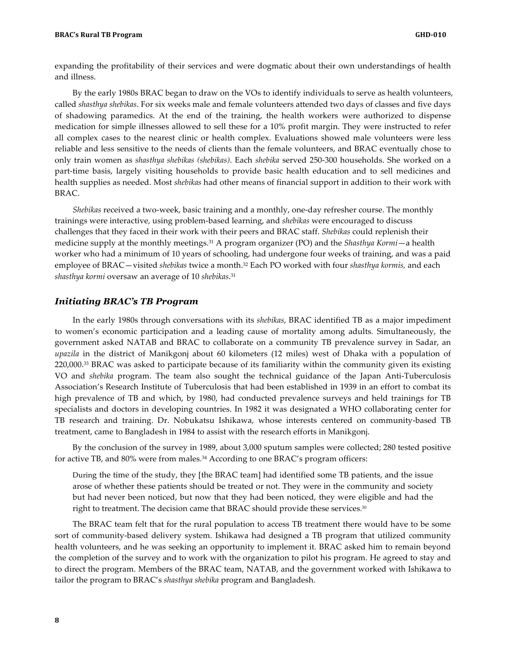expanding the profitability of their services and were dogmatic about their own understandings of health and illness.

By the early 1980s BRAC began to draw on the VOs to identify individuals to serve as health volunteers, called *shasthya shebikas*. For six weeks male and female volunteers attended two days of classes and five days of shadowing paramedics. At the end of the training, the health workers were authorized to dispense medication for simple illnesses allowed to sell these for a 10% profit margin. They were instructed to refer all complex cases to the nearest clinic or health complex. Evaluations showed male volunteers were less reliable and less sensitive to the needs of clients than the female volunteers, and BRAC eventually chose to only train women as *shasthya shebikas (shebikas)*. Each *shebika* served 250-300 households. She worked on a part-time basis, largely visiting households to provide basic health education and to sell medicines and health supplies as needed. Most *shebikas* had other means of financial support in addition to their work with BRAC.

*Shebikas* received a two-week, basic training and a monthly, one-day refresher course. The monthly trainings were interactive, using problem-based learning, and *shebikas* were encouraged to discuss challenges that they faced in their work with their peers and BRAC staff. *Shebikas* could replenish their medicine supply at the monthly meetings.31 A program organizer (PO) and the *Shasthya Kormi*—a health worker who had a minimum of 10 years of schooling, had undergone four weeks of training, and was a paid employee of BRAC—visited *shebikas* twice a month.32 Each PO worked with four *shasthya kormis,* and each *shasthya kormi* oversaw an average of 10 *shebikas*.31

#### *Initiating BRAC's TB Program*

In the early 1980s through conversations with its *shebikas*, BRAC identified TB as a major impediment to women's economic participation and a leading cause of mortality among adults. Simultaneously, the government asked NATAB and BRAC to collaborate on a community TB prevalence survey in Sadar, an *upazila* in the district of Manikgonj about 60 kilometers (12 miles) west of Dhaka with a population of 220,000.33 BRAC was asked to participate because of its familiarity within the community given its existing VO and *shebika* program. The team also sought the technical guidance of the Japan Anti-Tuberculosis Association's Research Institute of Tuberculosis that had been established in 1939 in an effort to combat its high prevalence of TB and which, by 1980, had conducted prevalence surveys and held trainings for TB specialists and doctors in developing countries. In 1982 it was designated a WHO collaborating center for TB research and training. Dr. Nobukatsu Ishikawa, whose interests centered on community-based TB treatment, came to Bangladesh in 1984 to assist with the research efforts in Manikgonj.

By the conclusion of the survey in 1989, about 3,000 sputum samples were collected; 280 tested positive for active TB, and 80% were from males.34 According to one BRAC's program officers:

During the time of the study, they [the BRAC team] had identified some TB patients, and the issue arose of whether these patients should be treated or not. They were in the community and society but had never been noticed, but now that they had been noticed, they were eligible and had the right to treatment. The decision came that BRAC should provide these services. 30

The BRAC team felt that for the rural population to access TB treatment there would have to be some sort of community-based delivery system. Ishikawa had designed a TB program that utilized community health volunteers, and he was seeking an opportunity to implement it. BRAC asked him to remain beyond the completion of the survey and to work with the organization to pilot his program. He agreed to stay and to direct the program. Members of the BRAC team, NATAB, and the government worked with Ishikawa to tailor the program to BRAC's *shasthya shebika* program and Bangladesh.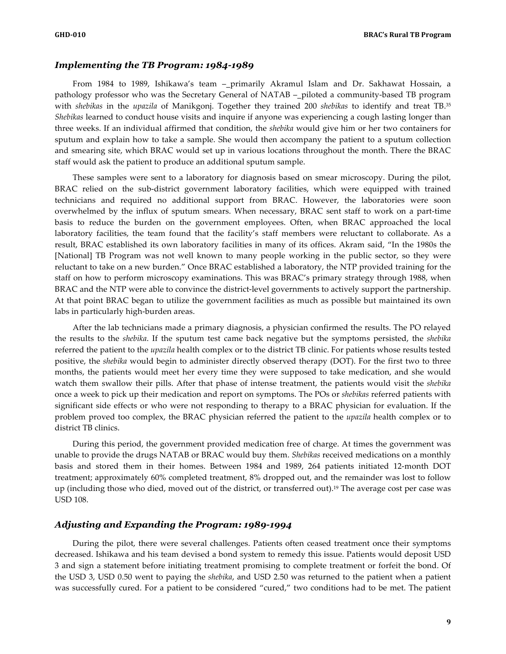#### *Implementing the TB Program: 1984-1989*

From 1984 to 1989, Ishikawa's team –\_primarily Akramul Islam and Dr. Sakhawat Hossain, a pathology professor who was the Secretary General of NATAB –\_piloted a community-based TB program with *shebikas* in the *upazila* of Manikgonj. Together they trained 200 *shebikas* to identify and treat TB.35 *Shebikas* learned to conduct house visits and inquire if anyone was experiencing a cough lasting longer than three weeks. If an individual affirmed that condition, the *shebika* would give him or her two containers for sputum and explain how to take a sample. She would then accompany the patient to a sputum collection and smearing site, which BRAC would set up in various locations throughout the month. There the BRAC staff would ask the patient to produce an additional sputum sample.

These samples were sent to a laboratory for diagnosis based on smear microscopy. During the pilot, BRAC relied on the sub-district government laboratory facilities, which were equipped with trained technicians and required no additional support from BRAC. However, the laboratories were soon overwhelmed by the influx of sputum smears. When necessary, BRAC sent staff to work on a part-time basis to reduce the burden on the government employees. Often, when BRAC approached the local laboratory facilities, the team found that the facility's staff members were reluctant to collaborate. As a result, BRAC established its own laboratory facilities in many of its offices. Akram said, "In the 1980s the [National] TB Program was not well known to many people working in the public sector, so they were reluctant to take on a new burden." Once BRAC established a laboratory, the NTP provided training for the staff on how to perform microscopy examinations. This was BRAC's primary strategy through 1988, when BRAC and the NTP were able to convince the district-level governments to actively support the partnership. At that point BRAC began to utilize the government facilities as much as possible but maintained its own labs in particularly high-burden areas.

After the lab technicians made a primary diagnosis, a physician confirmed the results. The PO relayed the results to the *shebika*. If the sputum test came back negative but the symptoms persisted, the *shebika* referred the patient to the *upazila* health complex or to the district TB clinic. For patients whose results tested positive, the *shebika* would begin to administer directly observed therapy (DOT). For the first two to three months, the patients would meet her every time they were supposed to take medication, and she would watch them swallow their pills. After that phase of intense treatment, the patients would visit the *shebika* once a week to pick up their medication and report on symptoms. The POs or *shebikas* referred patients with significant side effects or who were not responding to therapy to a BRAC physician for evaluation. If the problem proved too complex, the BRAC physician referred the patient to the *upazila* health complex or to district TB clinics.

During this period, the government provided medication free of charge. At times the government was unable to provide the drugs NATAB or BRAC would buy them. *Shebikas* received medications on a monthly basis and stored them in their homes. Between 1984 and 1989, 264 patients initiated 12-month DOT treatment; approximately 60% completed treatment, 8% dropped out, and the remainder was lost to follow up (including those who died, moved out of the district, or transferred out).19 The average cost per case was USD 108.

#### *Adjusting and Expanding the Program: 1989-1994*

During the pilot, there were several challenges. Patients often ceased treatment once their symptoms decreased. Ishikawa and his team devised a bond system to remedy this issue. Patients would deposit USD 3 and sign a statement before initiating treatment promising to complete treatment or forfeit the bond. Of the USD 3, USD 0.50 went to paying the *shebika*, and USD 2.50 was returned to the patient when a patient was successfully cured. For a patient to be considered "cured," two conditions had to be met. The patient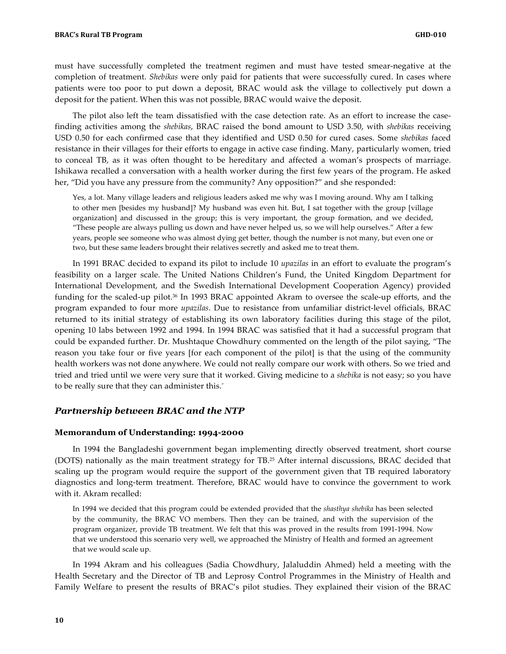must have successfully completed the treatment regimen and must have tested smear-negative at the completion of treatment. *Shebikas* were only paid for patients that were successfully cured. In cases where patients were too poor to put down a deposit, BRAC would ask the village to collectively put down a deposit for the patient. When this was not possible, BRAC would waive the deposit.

The pilot also left the team dissatisfied with the case detection rate. As an effort to increase the casefinding activities among the *shebikas*, BRAC raised the bond amount to USD 3.50, with *shebikas* receiving USD 0.50 for each confirmed case that they identified and USD 0.50 for cured cases. Some *shebikas* faced resistance in their villages for their efforts to engage in active case finding. Many, particularly women, tried to conceal TB, as it was often thought to be hereditary and affected a woman's prospects of marriage. Ishikawa recalled a conversation with a health worker during the first few years of the program. He asked her, "Did you have any pressure from the community? Any opposition?" and she responded:

Yes, a lot. Many village leaders and religious leaders asked me why was I moving around. Why am I talking to other men [besides my husband]? My husband was even hit. But, I sat together with the group [village organization] and discussed in the group; this is very important, the group formation, and we decided, "These people are always pulling us down and have never helped us, so we will help ourselves." After a few years, people see someone who was almost dying get better, though the number is not many, but even one or two, but these same leaders brought their relatives secretly and asked me to treat them.

In 1991 BRAC decided to expand its pilot to include 10 *upazilas* in an effort to evaluate the program's feasibility on a larger scale. The United Nations Children's Fund, the United Kingdom Department for International Development, and the Swedish International Development Cooperation Agency) provided funding for the scaled-up pilot.36 In 1993 BRAC appointed Akram to oversee the scale-up efforts, and the program expanded to four more *upazilas*. Due to resistance from unfamiliar district-level officials, BRAC returned to its initial strategy of establishing its own laboratory facilities during this stage of the pilot, opening 10 labs between 1992 and 1994. In 1994 BRAC was satisfied that it had a successful program that could be expanded further. Dr. Mushtaque Chowdhury commented on the length of the pilot saying, "The reason you take four or five years [for each component of the pilot] is that the using of the community health workers was not done anywhere. We could not really compare our work with others. So we tried and tried and tried until we were very sure that it worked. Giving medicine to a *shebika* is not easy; so you have to be really sure that they can administer this."

#### *Partnership between BRAC and the NTP*

#### **Memorandum of Understanding: 1994-2000**

In 1994 the Bangladeshi government began implementing directly observed treatment, short course (DOTS) nationally as the main treatment strategy for TB.25 After internal discussions, BRAC decided that scaling up the program would require the support of the government given that TB required laboratory diagnostics and long-term treatment. Therefore, BRAC would have to convince the government to work with it. Akram recalled:

In 1994 we decided that this program could be extended provided that the *shasthya shebika* has been selected by the community, the BRAC VO members. Then they can be trained, and with the supervision of the program organizer, provide TB treatment. We felt that this was proved in the results from 1991-1994. Now that we understood this scenario very well, we approached the Ministry of Health and formed an agreement that we would scale up.

In 1994 Akram and his colleagues (Sadia Chowdhury, Jalaluddin Ahmed) held a meeting with the Health Secretary and the Director of TB and Leprosy Control Programmes in the Ministry of Health and Family Welfare to present the results of BRAC's pilot studies. They explained their vision of the BRAC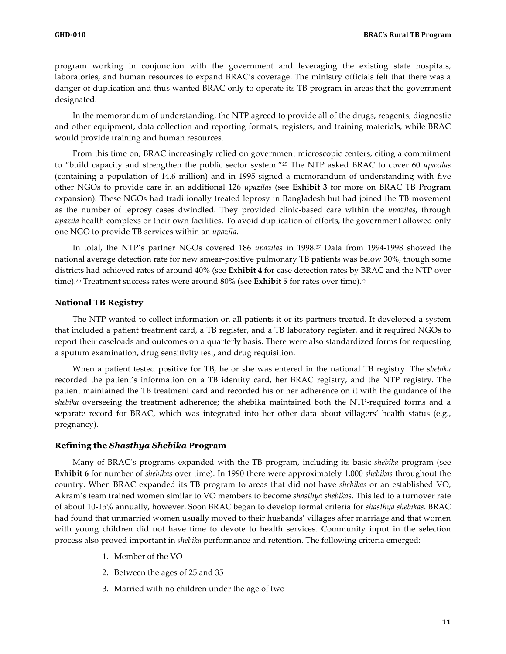program working in conjunction with the government and leveraging the existing state hospitals, laboratories, and human resources to expand BRAC's coverage. The ministry officials felt that there was a danger of duplication and thus wanted BRAC only to operate its TB program in areas that the government designated.

In the memorandum of understanding, the NTP agreed to provide all of the drugs, reagents, diagnostic and other equipment, data collection and reporting formats, registers, and training materials, while BRAC would provide training and human resources.

From this time on, BRAC increasingly relied on government microscopic centers, citing a commitment to "build capacity and strengthen the public sector system."25 The NTP asked BRAC to cover 60 *upazilas* (containing a population of 14.6 million) and in 1995 signed a memorandum of understanding with five other NGOs to provide care in an additional 126 *upazilas* (see **Exhibit 3** for more on BRAC TB Program expansion). These NGOs had traditionally treated leprosy in Bangladesh but had joined the TB movement as the number of leprosy cases dwindled. They provided clinic-based care within the *upazilas*, through *upazila* health complexs or their own facilities. To avoid duplication of efforts, the government allowed only one NGO to provide TB services within an *upazila*.

In total, the NTP's partner NGOs covered 186 *upazilas* in 1998.37 Data from 1994-1998 showed the national average detection rate for new smear-positive pulmonary TB patients was below 30%, though some districts had achieved rates of around 40% (see **Exhibit 4** for case detection rates by BRAC and the NTP over time).25 Treatment success rates were around 80% (see **Exhibit 5** for rates over time).25

#### **National TB Registry**

The NTP wanted to collect information on all patients it or its partners treated. It developed a system that included a patient treatment card, a TB register, and a TB laboratory register, and it required NGOs to report their caseloads and outcomes on a quarterly basis. There were also standardized forms for requesting a sputum examination, drug sensitivity test, and drug requisition.

When a patient tested positive for TB, he or she was entered in the national TB registry. The *shebika* recorded the patient's information on a TB identity card, her BRAC registry, and the NTP registry. The patient maintained the TB treatment card and recorded his or her adherence on it with the guidance of the *shebika* overseeing the treatment adherence; the shebika maintained both the NTP-required forms and a separate record for BRAC, which was integrated into her other data about villagers' health status (e.g., pregnancy).

#### **Refining the** *Shasthya Shebika* **Program**

Many of BRAC's programs expanded with the TB program, including its basic *shebika* program (see **Exhibit 6** for number of *shebikas* over time). In 1990 there were approximately 1,000 *shebikas* throughout the country. When BRAC expanded its TB program to areas that did not have *shebikas* or an established VO, Akram's team trained women similar to VO members to become *shasthya shebikas*. This led to a turnover rate of about 10-15% annually, however. Soon BRAC began to develop formal criteria for *shasthya shebikas*. BRAC had found that unmarried women usually moved to their husbands' villages after marriage and that women with young children did not have time to devote to health services. Community input in the selection process also proved important in *shebika* performance and retention. The following criteria emerged:

- 1. Member of the VO
- 2. Between the ages of 25 and 35
- 3. Married with no children under the age of two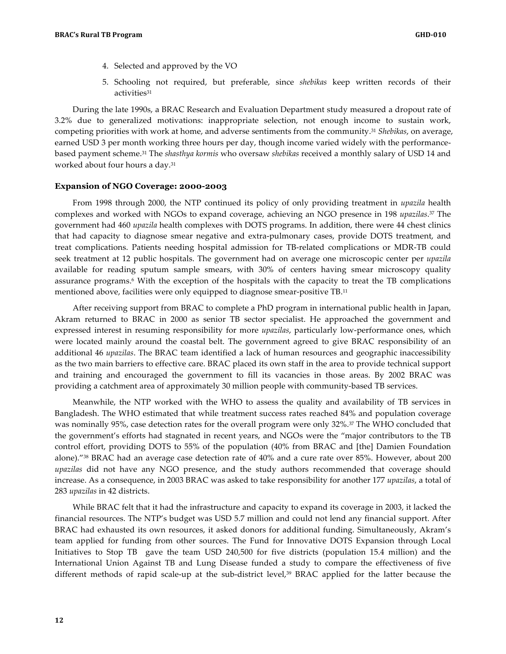- 4. Selected and approved by the VO
- 5. Schooling not required, but preferable, since *shebikas* keep written records of their activities<sup>31</sup>

During the late 1990s, a BRAC Research and Evaluation Department study measured a dropout rate of 3.2% due to generalized motivations: inappropriate selection, not enough income to sustain work, competing priorities with work at home, and adverse sentiments from the community.31 *Shebikas*, on average, earned USD 3 per month working three hours per day, though income varied widely with the performancebased payment scheme.31 The *shasthya kormis* who oversaw *shebikas* received a monthly salary of USD 14 and worked about four hours a day.31

#### **Expansion of NGO Coverage: 2000-2003**

From 1998 through 2000, the NTP continued its policy of only providing treatment in *upazila* health complexes and worked with NGOs to expand coverage, achieving an NGO presence in 198 *upazilas*.37 The government had 460 *upazila* health complexes with DOTS programs. In addition, there were 44 chest clinics that had capacity to diagnose smear negative and extra-pulmonary cases, provide DOTS treatment, and treat complications. Patients needing hospital admission for TB-related complications or MDR-TB could seek treatment at 12 public hospitals. The government had on average one microscopic center per *upazila* available for reading sputum sample smears, with 30% of centers having smear microscopy quality assurance programs.6 With the exception of the hospitals with the capacity to treat the TB complications mentioned above, facilities were only equipped to diagnose smear-positive TB.11

After receiving support from BRAC to complete a PhD program in international public health in Japan, Akram returned to BRAC in 2000 as senior TB sector specialist. He approached the government and expressed interest in resuming responsibility for more *upazilas*, particularly low-performance ones, which were located mainly around the coastal belt. The government agreed to give BRAC responsibility of an additional 46 *upazilas*. The BRAC team identified a lack of human resources and geographic inaccessibility as the two main barriers to effective care. BRAC placed its own staff in the area to provide technical support and training and encouraged the government to fill its vacancies in those areas. By 2002 BRAC was providing a catchment area of approximately 30 million people with community-based TB services.

Meanwhile, the NTP worked with the WHO to assess the quality and availability of TB services in Bangladesh. The WHO estimated that while treatment success rates reached 84% and population coverage was nominally 95%, case detection rates for the overall program were only 32%.37 The WHO concluded that the government's efforts had stagnated in recent years, and NGOs were the "major contributors to the TB control effort, providing DOTS to 55% of the population (40% from BRAC and [the] Damien Foundation alone)."38 BRAC had an average case detection rate of 40% and a cure rate over 85%. However, about 200 *upazilas* did not have any NGO presence, and the study authors recommended that coverage should increase. As a consequence, in 2003 BRAC was asked to take responsibility for another 177 *upazilas*, a total of 283 *upazilas* in 42 districts.

While BRAC felt that it had the infrastructure and capacity to expand its coverage in 2003, it lacked the financial resources. The NTP's budget was USD 5.7 million and could not lend any financial support. After BRAC had exhausted its own resources, it asked donors for additional funding. Simultaneously, Akram's team applied for funding from other sources. The Fund for Innovative DOTS Expansion through Local Initiatives to Stop TB gave the team USD 240,500 for five districts (population 15.4 million) and the International Union Against TB and Lung Disease funded a study to compare the effectiveness of five different methods of rapid scale-up at the sub-district level,<sup>39</sup> BRAC applied for the latter because the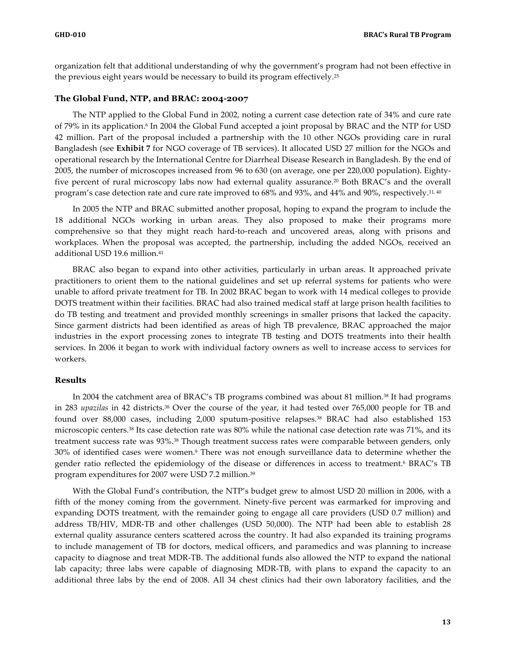organization felt that additional understanding of why the government's program had not been effective in the previous eight years would be necessary to build its program effectively.25

#### **The Global Fund, NTP, and BRAC: 2004-2007**

The NTP applied to the Global Fund in 2002, noting a current case detection rate of 34% and cure rate of 79% in its application.<sup>6</sup> In 2004 the Global Fund accepted a joint proposal by BRAC and the NTP for USD 42 million. Part of the proposal included a partnership with the 10 other NGOs providing care in rural Bangladesh (see **Exhibit 7** for NGO coverage of TB services). It allocated USD 27 million for the NGOs and operational research by the International Centre for Diarrheal Disease Research in Bangladesh. By the end of 2005, the number of microscopes increased from 96 to 630 (on average, one per 220,000 population). Eightyfive percent of rural microscopy labs now had external quality assurance.20 Both BRAC's and the overall program's case detection rate and cure rate improved to 68% and 93%, and 44% and 90%, respectively.<sup>11, 40</sup>

In 2005 the NTP and BRAC submitted another proposal, hoping to expand the program to include the 18 additional NGOs working in urban areas. They also proposed to make their programs more comprehensive so that they might reach hard-to-reach and uncovered areas, along with prisons and workplaces. When the proposal was accepted, the partnership, including the added NGOs, received an additional USD 19.6 million.<sup>41</sup>

BRAC also began to expand into other activities, particularly in urban areas. It approached private practitioners to orient them to the national guidelines and set up referral systems for patients who were unable to afford private treatment for TB. In 2002 BRAC began to work with 14 medical colleges to provide DOTS treatment within their facilities. BRAC had also trained medical staff at large prison health facilities to do TB testing and treatment and provided monthly screenings in smaller prisons that lacked the capacity. Since garment districts had been identified as areas of high TB prevalence, BRAC approached the major industries in the export processing zones to integrate TB testing and DOTS treatments into their health services. In 2006 it began to work with individual factory owners as well to increase access to services for workers.

#### **Results**

In 2004 the catchment area of BRAC's TB programs combined was about 81 million.38 It had programs in 283 *upazilas* in 42 districts.38 Over the course of the year, it had tested over 765,000 people for TB and found over 88,000 cases, including 2,000 sputum-positive relapses.38 BRAC had also established 153 microscopic centers.38 Its case detection rate was 80% while the national case detection rate was 71%, and its treatment success rate was 93%.38 Though treatment success rates were comparable between genders, only 30% of identified cases were women.9 There was not enough surveillance data to determine whether the gender ratio reflected the epidemiology of the disease or differences in access to treatment.6 BRAC's TB program expenditures for 2007 were USD 7.2 million.39

With the Global Fund's contribution, the NTP's budget grew to almost USD 20 million in 2006, with a fifth of the money coming from the government. Ninety-five percent was earmarked for improving and expanding DOTS treatment, with the remainder going to engage all care providers (USD 0.7 million) and address TB/HIV, MDR-TB and other challenges (USD 50,000). The NTP had been able to establish 28 external quality assurance centers scattered across the country. It had also expanded its training programs to include management of TB for doctors, medical officers, and paramedics and was planning to increase capacity to diagnose and treat MDR-TB. The additional funds also allowed the NTP to expand the national lab capacity; three labs were capable of diagnosing MDR-TB, with plans to expand the capacity to an additional three labs by the end of 2008. All 34 chest clinics had their own laboratory facilities, and the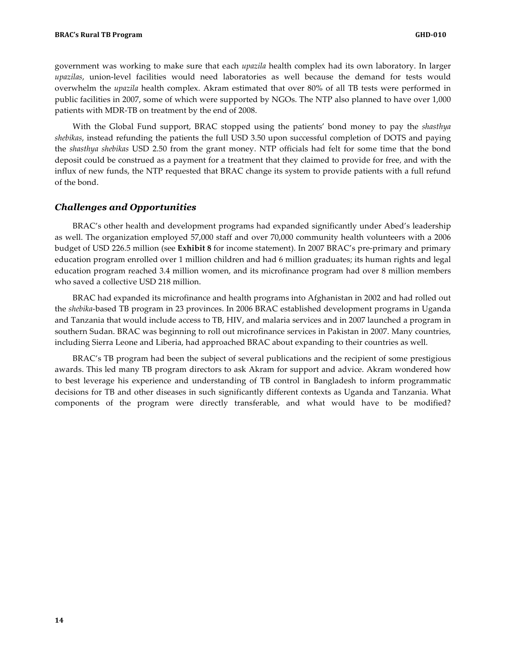government was working to make sure that each *upazila* health complex had its own laboratory. In larger *upazilas*, union-level facilities would need laboratories as well because the demand for tests would overwhelm the *upazila* health complex. Akram estimated that over 80% of all TB tests were performed in public facilities in 2007, some of which were supported by NGOs. The NTP also planned to have over 1,000 patients with MDR-TB on treatment by the end of 2008.

With the Global Fund support, BRAC stopped using the patients' bond money to pay the *shasthya shebikas*, instead refunding the patients the full USD 3.50 upon successful completion of DOTS and paying the *shasthya shebikas* USD 2.50 from the grant money. NTP officials had felt for some time that the bond deposit could be construed as a payment for a treatment that they claimed to provide for free, and with the influx of new funds, the NTP requested that BRAC change its system to provide patients with a full refund of the bond.

#### *Challenges and Opportunities*

BRAC's other health and development programs had expanded significantly under Abed's leadership as well. The organization employed 57,000 staff and over 70,000 community health volunteers with a 2006 budget of USD 226.5 million (see **Exhibit 8** for income statement). In 2007 BRAC's pre-primary and primary education program enrolled over 1 million children and had 6 million graduates; its human rights and legal education program reached 3.4 million women, and its microfinance program had over 8 million members who saved a collective USD 218 million.

BRAC had expanded its microfinance and health programs into Afghanistan in 2002 and had rolled out the *shebika*-based TB program in 23 provinces. In 2006 BRAC established development programs in Uganda and Tanzania that would include access to TB, HIV, and malaria services and in 2007 launched a program in southern Sudan. BRAC was beginning to roll out microfinance services in Pakistan in 2007. Many countries, including Sierra Leone and Liberia, had approached BRAC about expanding to their countries as well.

BRAC's TB program had been the subject of several publications and the recipient of some prestigious awards. This led many TB program directors to ask Akram for support and advice. Akram wondered how to best leverage his experience and understanding of TB control in Bangladesh to inform programmatic decisions for TB and other diseases in such significantly different contexts as Uganda and Tanzania. What components of the program were directly transferable, and what would have to be modified?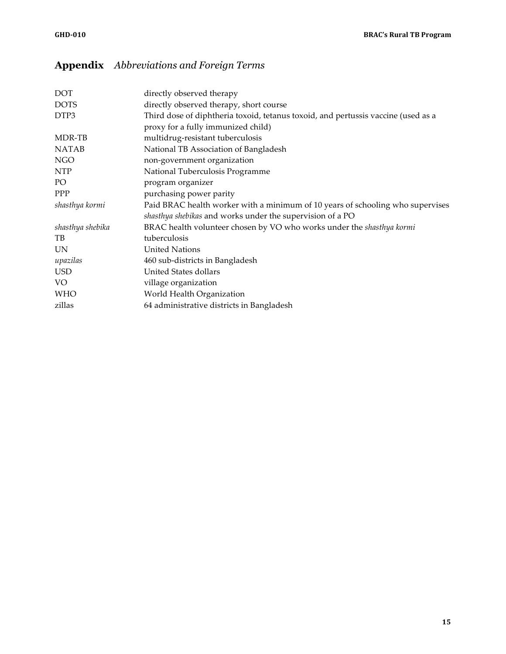## **Appendix** *Abbreviations and Foreign Terms*

| <b>DOT</b>       | directly observed therapy                                                         |
|------------------|-----------------------------------------------------------------------------------|
| <b>DOTS</b>      | directly observed therapy, short course                                           |
| DTP3             | Third dose of diphtheria toxoid, tetanus toxoid, and pertussis vaccine (used as a |
|                  | proxy for a fully immunized child)                                                |
| MDR-TB           | multidrug-resistant tuberculosis                                                  |
| <b>NATAB</b>     | National TB Association of Bangladesh                                             |
| <b>NGO</b>       | non-government organization                                                       |
| <b>NTP</b>       | National Tuberculosis Programme                                                   |
| PO               | program organizer                                                                 |
| <b>PPP</b>       | purchasing power parity                                                           |
| shasthya kormi   | Paid BRAC health worker with a minimum of 10 years of schooling who supervises    |
|                  | shasthya shebikas and works under the supervision of a PO                         |
| shasthya shebika | BRAC health volunteer chosen by VO who works under the shasthya kormi             |
| TB               | tuberculosis                                                                      |
| UN               | <b>United Nations</b>                                                             |
| upazilas         | 460 sub-districts in Bangladesh                                                   |
| <b>USD</b>       | United States dollars                                                             |
| VO               | village organization                                                              |
| WHO              | World Health Organization                                                         |
| zillas           | 64 administrative districts in Bangladesh                                         |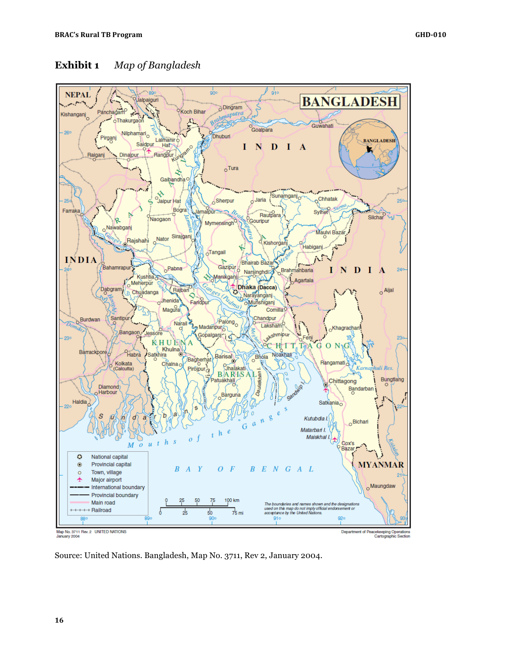

## **Exhibit 1** *Map of Bangladesh*



Source: United Nations. Bangladesh, Map No. 3711, Rev 2, January 2004.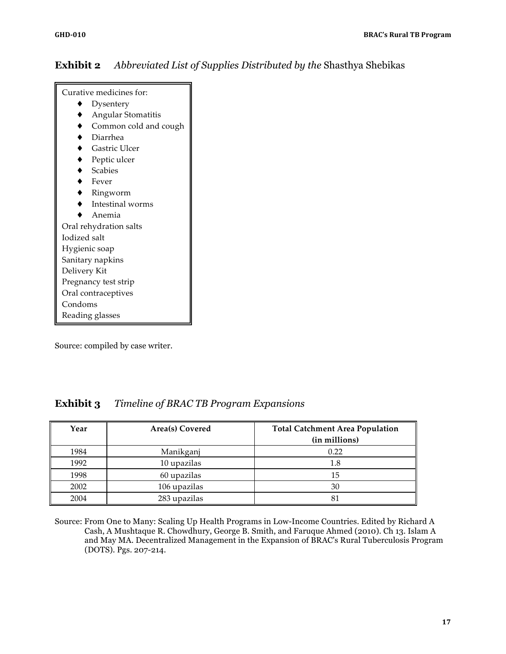|  | <b>Exhibit 2</b> Abbreviated List of Supplies Distributed by the Shasthya Shebikas |  |  |  |
|--|------------------------------------------------------------------------------------|--|--|--|
|--|------------------------------------------------------------------------------------|--|--|--|

| Curative medicines for:          |
|----------------------------------|
| Dysentery                        |
| Angular Stomatitis               |
| Common cold and cough            |
| $\bullet$<br>Diarrhea            |
| $\blacklozenge$<br>Gastric Ulcer |
| $\bullet$<br>Peptic ulcer        |
| $\bullet$ Scabies                |
| $\bullet$ Fever                  |
| $\bullet$<br>Ringworm            |
| Intestinal worms                 |
| Anemia                           |
| Oral rehydration salts           |
| Iodized salt                     |
| Hygienic soap                    |
| Sanitary napkins                 |
| Delivery Kit                     |
| Pregnancy test strip             |
| Oral contraceptives              |
| Condoms                          |
| Reading glasses                  |

Source: compiled by case writer.

## **Exhibit 3** *Timeline of BRAC TB Program Expansions*

| Year | Area(s) Covered | <b>Total Catchment Area Population</b><br>(in millions) |
|------|-----------------|---------------------------------------------------------|
| 1984 | Manikganj       | 0.22                                                    |
| 1992 | 10 upazilas     | 1.8                                                     |
| 1998 | 60 upazilas     | 15                                                      |
| 2002 | 106 upazilas    | 30                                                      |
| 2004 | 283 upazilas    | 81                                                      |

Source: From One to Many: Scaling Up Health Programs in Low-Income Countries. Edited by Richard A Cash, A Mushtaque R. Chowdhury, George B. Smith, and Faruque Ahmed (2010). Ch 13. Islam A and May MA. Decentralized Management in the Expansion of BRAC's Rural Tuberculosis Program (DOTS). Pgs. 207-214.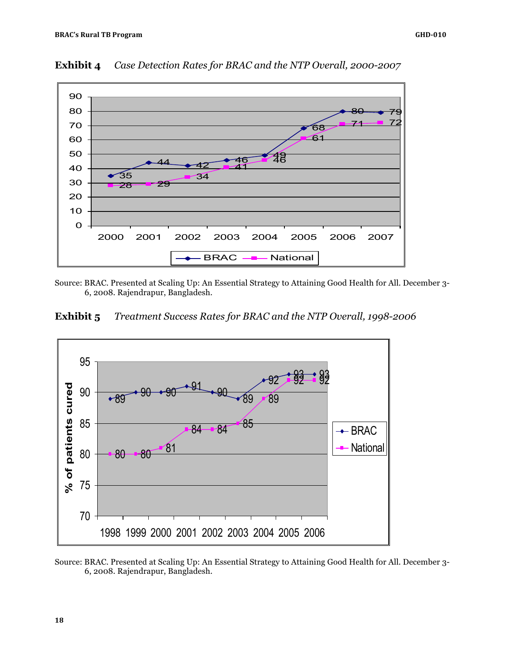

Exhibit 4 *Case Detection Rates for BRAC and the NTP-2verall, 2000-2007* 

Source: BRAC. Presented at Scaling Up: An Essential Strategy to Attaining Good Health for All. December 3- 6, 2008. Rajendrapur, Bangladesh.





Source: BRAC. Presented at Scaling Up: An Essential Strategy to Attaining Good Health for All. December 3- 6, 2008. Rajendrapur, Bangladesh.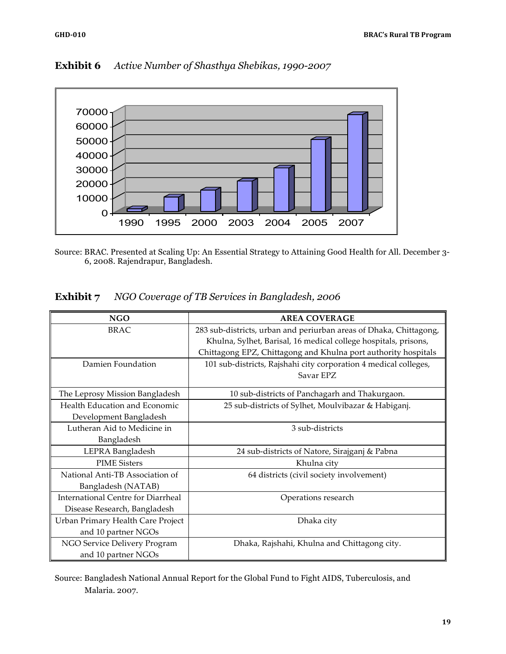

**Exhibit 6** Active Number of Shasthya Shebikas, 1990-2007

Source: BRAC. Presented at Scaling Up: An Essential Strategy to Attaining Good Health for All. December 3- 6, 2008. Rajendrapur, Bangladesh.

| Exhibit 7 |  | NGO Coverage of TB Services in Bangladesh, 2006 |
|-----------|--|-------------------------------------------------|
|-----------|--|-------------------------------------------------|

| <b>NGO</b>                                | <b>AREA COVERAGE</b>                                               |
|-------------------------------------------|--------------------------------------------------------------------|
| <b>BRAC</b>                               | 283 sub-districts, urban and periurban areas of Dhaka, Chittagong, |
|                                           | Khulna, Sylhet, Barisal, 16 medical college hospitals, prisons,    |
|                                           | Chittagong EPZ, Chittagong and Khulna port authority hospitals     |
| Damien Foundation                         | 101 sub-districts, Rajshahi city corporation 4 medical colleges,   |
|                                           | Savar EPZ                                                          |
| The Leprosy Mission Bangladesh            | 10 sub-districts of Panchagarh and Thakurgaon.                     |
| Health Education and Economic             | 25 sub-districts of Sylhet, Moulvibazar & Habiganj.                |
| Development Bangladesh                    |                                                                    |
| Lutheran Aid to Medicine in               | 3 sub-districts                                                    |
| Bangladesh                                |                                                                    |
| LEPRA Bangladesh                          | 24 sub-districts of Natore, Sirajganj & Pabna                      |
| <b>PIME Sisters</b>                       | Khulna city                                                        |
| National Anti-TB Association of           | 64 districts (civil society involvement)                           |
| Bangladesh (NATAB)                        |                                                                    |
| <b>International Centre for Diarrheal</b> | Operations research                                                |
| Disease Research, Bangladesh              |                                                                    |
| Urban Primary Health Care Project         | Dhaka city                                                         |
| and 10 partner NGOs                       |                                                                    |
| NGO Service Delivery Program              | Dhaka, Rajshahi, Khulna and Chittagong city.                       |
| and 10 partner NGOs                       |                                                                    |

Source: Bangladesh National Annual Report for the Global Fund to Fight AIDS, Tuberculosis, and Malaria. 2007.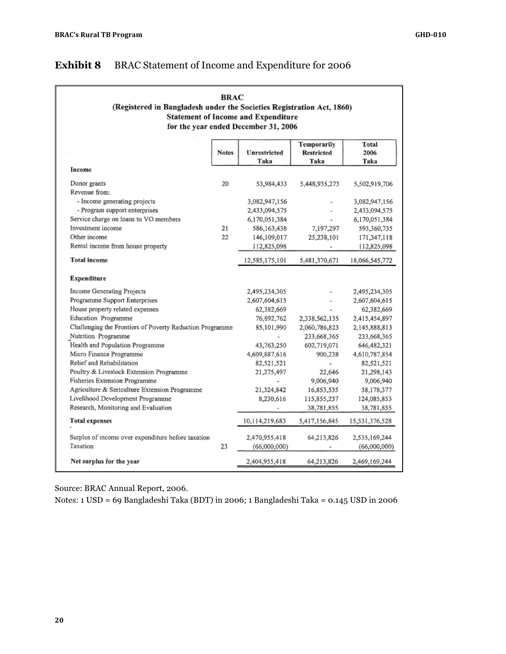| <b>BRAC</b><br>(Registered in Bangladesh under the Societies Registration Act, 1860)<br><b>Statement of Income and Expenditure</b><br>for the year ended December 31, 2006 |              |                                |                                          |                                |
|----------------------------------------------------------------------------------------------------------------------------------------------------------------------------|--------------|--------------------------------|------------------------------------------|--------------------------------|
|                                                                                                                                                                            | <b>Notes</b> | Unrestricted<br>Taka           | Temporarily<br><b>Restricted</b><br>Taka | Total<br>2006<br>Taka          |
| Income                                                                                                                                                                     |              |                                |                                          |                                |
| Donor grants<br>Revenue from:                                                                                                                                              | 20           | 53,984,433                     | 5,448,935,273                            | 5,502,919,706                  |
| - Income generating projects<br>- Program support enterprises                                                                                                              |              | 3,082,947,156<br>2,433,094,575 |                                          | 3,082,947,156<br>2,433,094,575 |
| Service charge on loans to VO members<br>Investment income                                                                                                                 | 21           | 6,170,051,384<br>586,163,438   | 7,197,297                                | 6,170,051,384<br>593,360,735   |
| Other income<br>Rental income from house property                                                                                                                          | 22           | 146,109,017<br>112,825,098     | 25,238,101                               | 171,347,118<br>112,825,098     |
| <b>Total</b> income                                                                                                                                                        |              | 12,585,175,101                 | 5,481,370,671                            | 18,066,545,772                 |
| Expenditure                                                                                                                                                                |              |                                |                                          |                                |
| Income Generating Projects                                                                                                                                                 |              | 2,495,234,305                  |                                          | 2,495,234,305                  |
| Programme Support Enterprises                                                                                                                                              |              | 2,607,604,615                  |                                          | 2,607,604,615                  |
| House property related expenses                                                                                                                                            |              | 62,382,669                     |                                          | 62,382,669                     |
| Education Programme                                                                                                                                                        |              | 76,892,762                     | 2,338,562,135                            | 2,415,454,897                  |
| Challenging the Frontiers of Poverty Reduction Programme                                                                                                                   |              | 85,101,990                     | 2,060,786,823                            | 2,145,888,813                  |
| Nutrition Programme                                                                                                                                                        |              |                                | 233,668,365                              | 233,668,365                    |
| Health and Population Programme                                                                                                                                            |              | 43,763,250                     | 602,719,071                              | 646,482,321                    |
| Micro Finance Programme<br>Relief and Rehabilitation                                                                                                                       |              | 4,609,887,616                  | 900,238                                  | 4,610,787,854                  |
| Poultry & Livestock Extension Programme                                                                                                                                    |              | 82,521,521<br>21,275,497       | 22,646                                   | 82,521,521<br>21,298,143       |
| Fisheries Extension Programme                                                                                                                                              |              |                                | 9,006,940                                | 9,006,940                      |
| Agriculture & Sericulture Extension Programme                                                                                                                              |              | 21,324,842                     | 16,853,535                               | 38,178,377                     |
| Livelihood Development Programme                                                                                                                                           |              | 8,230,616                      | 115,855,237                              | 124,085,853                    |
| Research, Monitoring and Evaluation                                                                                                                                        |              |                                | 38,781,855                               | 38,781,855                     |
| <b>Total expenses</b>                                                                                                                                                      |              | 10,114,219,683                 | 5,417,156,845                            | 15,531,376,528                 |
| Surplus of income over expenditure before taxation<br>Taxation                                                                                                             | 23           | 2,470,955,418<br>(66,000,000)  | 64,213,826                               | 2,535,169,244<br>(66,000,000)  |
| Net surplus for the year                                                                                                                                                   |              | 2,404,955,418                  | 64,213,826                               | 2,469,169,244                  |

## **Exhibit 8** BRAC Statement of Income and Expenditure for 2006

Source: BRAC Annual Report, 2006.

Notes: 1 USD = 69 Bangladeshi Taka (BDT) in 2006; 1 Bangladeshi Taka = 0.145 USD in 2006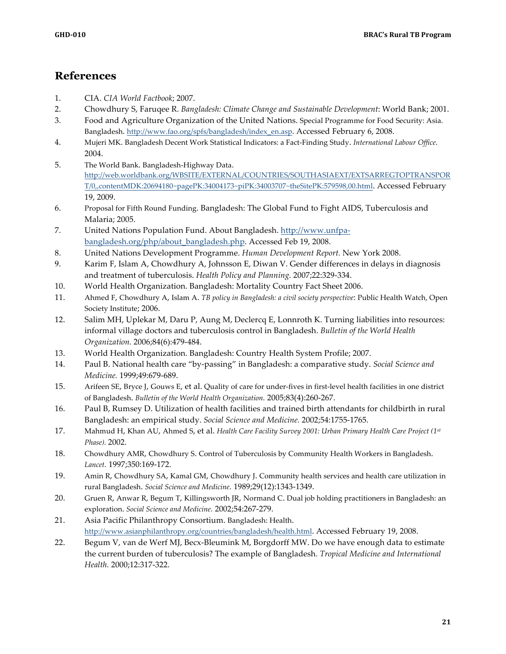## **References**

- 1. CIA. *CIA World Factbook*; 2007.
- 2. Chowdhury S, Faruqee R. *Bangladesh: Climate Change and Sustainable Development*: World Bank; 2001.
- 3. Food and Agriculture Organization of the United Nations. Special Programme for Food Security: Asia. Bangladesh. http://www.fao.org/spfs/bangladesh/index\_en.asp. Accessed February 6, 2008.
- 4. Mujeri MK. Bangladesh Decent Work Statistical Indicators: a Fact-Finding Study. *International Labour Office.*  2004.
- 5. The World Bank. Bangladesh-Highway Data. http://web.worldbank.org/WBSITE/EXTERNAL/COUNTRIES/SOUTHASIAEXT/EXTSARREGTOPTRANSPOR T/0,,contentMDK:20694180~pagePK:34004173~piPK:34003707~theSitePK:579598,00.html. Accessed February 19, 2009.
- 6. Proposal for Fifth Round Funding. Bangladesh: The Global Fund to Fight AIDS, Tuberculosis and Malaria; 2005.
- 7. United Nations Population Fund. About Bangladesh. http://www.unfpabangladesh.org/php/about\_bangladesh.php. Accessed Feb 19, 2008.
- 8. United Nations Development Programme. *Human Development Report.* New York 2008.
- 9. Karim F, Islam A, Chowdhury A, Johnsson E, Diwan V. Gender differences in delays in diagnosis and treatment of tuberculosis. *Health Policy and Planning.* 2007;22:329-334.
- 10. World Health Organization. Bangladesh: Mortality Country Fact Sheet 2006.
- 11. Ahmed F, Chowdhury A, Islam A. *TB policy in Bangladesh: a civil society perspective*: Public Health Watch, Open Society Institute; 2006.
- 12. Salim MH, Uplekar M, Daru P, Aung M, Declercq E, Lonnroth K. Turning liabilities into resources: informal village doctors and tuberculosis control in Bangladesh. *Bulletin of the World Health Organization.* 2006;84(6):479-484.
- 13. World Health Organization. Bangladesh: Country Health System Profile; 2007.
- 14. Paul B. National health care "by-passing" in Bangladesh: a comparative study. *Social Science and Medicine.* 1999;49:679-689.
- 15. Arifeen SE, Bryce J, Gouws E, et al. Quality of care for under-fives in first-level health facilities in one district of Bangladesh. *Bulletin of the World Health Organization.* 2005;83(4):260-267.
- 16. Paul B, Rumsey D. Utilization of health facilities and trained birth attendants for childbirth in rural Bangladesh: an empirical study. *Social Science and Medicine.* 2002;54:1755-1765.
- 17. Mahmud H, Khan AU, Ahmed S, et al. *Health Care Facility Survey 2001: Urban Primary Health Care Project (1st Phase).* 2002.
- 18. Chowdhury AMR, Chowdhury S. Control of Tuberculosis by Community Health Workers in Bangladesh. *Lancet.* 1997;350:169-172.
- 19. Amin R, Chowdhury SA, Kamal GM, Chowdhury J. Community health services and health care utilization in rural Bangladesh. *Social Science and Medicine.* 1989;29(12):1343-1349.
- 20. Gruen R, Anwar R, Begum T, Killingsworth JR, Normand C. Dual job holding practitioners in Bangladesh: an exploration. *Social Science and Medicine.* 2002;54:267-279.
- 21. Asia Pacific Philanthropy Consortium. Bangladesh: Health. http://www.asianphilanthropy.org/countries/bangladesh/health.html. Accessed February 19, 2008.
- 22. Begum V, van de Werf MJ, Becx-Bleumink M, Borgdorff MW. Do we have enough data to estimate the current burden of tuberculosis? The example of Bangladesh. *Tropical Medicine and International Health.* 2000;12:317-322.